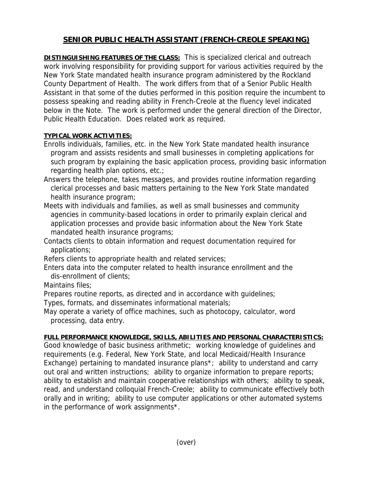## **SENIOR PUBLIC HEALTH ASSISTANT (FRENCH-CREOLE SPEAKING)**

**DISTINGUISHING FEATURES OF THE CLASS:** This is specialized clerical and outreach work involving responsibility for providing support for various activities required by the New York State mandated health insurance program administered by the Rockland County Department of Health. The work differs from that of a Senior Public Health Assistant in that some of the duties performed in this position require the incumbent to possess speaking and reading ability in French-Creole at the fluency level indicated below in the Note. The work is performed under the general direction of the Director, Public Health Education. Does related work as required.

## **TYPICAL WORK ACTIVITIES:**

- Enrolls individuals, families, etc. in the New York State mandated health insurance program and assists residents and small businesses in completing applications for such program by explaining the basic application process, providing basic information regarding health plan options, etc.;
- Answers the telephone, takes messages, and provides routine information regarding clerical processes and basic matters pertaining to the New York State mandated health insurance program;
- Meets with individuals and families, as well as small businesses and community agencies in community-based locations in order to primarily explain clerical and application processes and provide basic information about the New York State mandated health insurance programs;
- Contacts clients to obtain information and request documentation required for applications;
- Refers clients to appropriate health and related services;
- Enters data into the computer related to health insurance enrollment and the dis-enrollment of clients;
- Maintains files:
- Prepares routine reports, as directed and in accordance with guidelines;
- Types, formats, and disseminates informational materials;
- May operate a variety of office machines, such as photocopy, calculator, word processing, data entry.

## **FULL PERFORMANCE KNOWLEDGE, SKILLS, ABILITIES AND PERSONAL CHARACTERISTICS:**

Good knowledge of basic business arithmetic; working knowledge of guidelines and requirements (e.g. Federal, New York State, and local Medicaid/Health Insurance Exchange) pertaining to mandated insurance plans\*; ability to understand and carry out oral and written instructions; ability to organize information to prepare reports; ability to establish and maintain cooperative relationships with others; ability to speak, read, and understand colloquial French-Creole; ability to communicate effectively both orally and in writing; ability to use computer applications or other automated systems in the performance of work assignments\*.